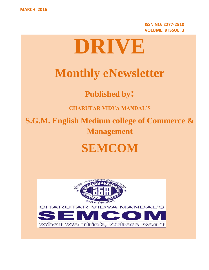**ISSN NO: 2277-2510 VOLUME: 9 ISSUE: 3**

# **DRIVE**

# **Monthly eNewsletter**

**Published by:**

**CHARUTAR VIDYA MANDAL'S**

**S.G.M. English Medium college of Commerce & Management**

# **SEMCOM**

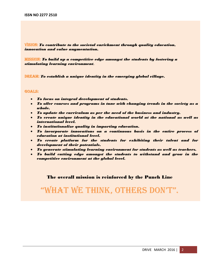VISION: *To contribute to the societal enrichment through quality education, innovation and value augmentation.*

MISSION: *To build up a competitive edge amongst the students by fostering a stimulating learning environment.*

DREAM: *To establish a unique identity in the emerging global village.*

#### GOALS:

- *To focus on integral development of students.*
- *To offer courses and programs in tune with changing trends in the society as a whole.*
- *To update the curriculum as per the need of the business and industry.*
- *To create unique identity in the educational world at the national as well as international level.*
- *To institutionalize quality in imparting education.*
- *To incorporate innovations on a continuous basis in the entire process of education at institutional level.*
- *To create platform for the students for exhibiting their talent and for development of their potentials.*
- *To generate stimulating learning environment for students as well as teachers.*
- *To build cutting edge amongst the students to withstand and grow in the competitive environment at the global level.*

#### The overall mission is reinforced by the Punch Line

# "What We think, Others DOn't".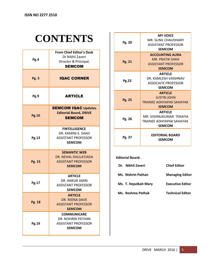# **CONTENTS**

| Pg.4         | <b>From Chief Editor's Desk</b><br>Dr Nikhil Zaveri<br>Director & Principal,<br><b>SEMCOM</b> |
|--------------|-----------------------------------------------------------------------------------------------|
| <b>Pg. 5</b> | <b>IQAC CORNER</b>                                                                            |
| Pg.9         | <b>ARTICLE</b>                                                                                |
| <b>Pg.10</b> | <b>SEMCOM IQAC Updates</b><br><b>Editorial Board, DRIVE</b><br><b>SEMCOM</b>                  |
| Pg.13        | <b>FINTELLIGENCE</b><br>DR. KAMINI K. SHAH<br><b>ASSISTANT PROFESSOR</b><br><b>SEMCOM</b>     |
| Pg. 15       | <b>SEMANTIC WEB</b><br>DR. NEHAL DAULATJADA<br><b>ASSISTANT PROFESSOR</b><br><b>SEMCOM</b>    |
| Pg.17        | <b>ARTICLE</b><br>DR. ANKUR AMIN<br><b>ASSISTANT PROFESSOR</b><br><b>SEMCOM</b>               |
| Pg. 18       | <b>ARTICLE</b><br><b>DR. REENA DAVE</b><br><b>ASSISTANT PROFESSOR</b><br><b>SEMCOM</b>        |
| Pg.19        | <b>COMMUNICARE</b><br>DR. NISHRIN PATHAN<br><b>ASSISTANT PROFESSOR</b><br><b>SEMCOM</b>       |

| Pg. 20       | <b>MY VOICE</b><br>MR. SUNIL CHAUDHARY<br><b>ASSISTANT PROFESSOR</b><br><b>SEMCOM</b>           |
|--------------|-------------------------------------------------------------------------------------------------|
| Pg. 21       | <b>ACCOUNTING AURA</b><br><b>MR. PRATIK SHAH</b><br><b>ASSISTANT PROFESSOR</b><br><b>SEMCOM</b> |
| <b>Pg.22</b> | <b>ARTICLE</b><br>DR. KAMLESH VAISHNAV<br><b>ASSOCIATE PROFESSOR</b><br><b>SEMCOM</b>           |
| Pg. 25       | <b>ARTICLE</b><br><b>JUSTIN JOHN</b><br>TRAINFF ADHYAPAK SAHAYAK<br><b>SEMCOM</b>               |
| Pg. 26       | <b>ARTICLE</b><br>MR. VISHNUKUMAR TERAIYA<br>TRAINFF ADHYAPAK SAHAYAK<br><b>SEMCOM</b>          |
|              |                                                                                                 |

#### **Editorial Board:**

| Dr. Nikhil Zaveri    | <b>Chief Editor</b>     |
|----------------------|-------------------------|
| Ms. Nishrin Pathan   | <b>Managing Editor</b>  |
| Ms. T. Hepzibah Mary | <b>Executive Editor</b> |
| Ms. Reshma Pathak    | <b>Technical Editor</b> |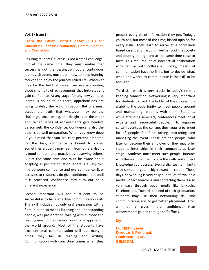#### **Vol. 9 Issue 3**

#### **From the Chief Editor's desk: 3 Cs for Students' Success: Confidence, Communication and Connection:**

Ensuring students' success is not a small challenge, but at the same time, they must realize that success is not the destination but a continuous journey. Students must learn how to keep learning forever and enjoy the journey called life. Whatever may be the field of career, success is counting those small bits of achievements that help student gain confidence. At any stage, for any new venture, inertia is bound to be there, apprehensions are going to delay the act of initiation. But one must accept the truth that whatever may be the challenge, small or big, the delight is at the other end. When series of achievements gets beaded, person gets the confidence. Confidence is also the other side well preparation. When you know deep in your mind that you are cent percent prepared for the task, confidence is bound to come. Sometimes students may learn from others also. It is good to learn and practice by observing others. But at the same time one must be aware about adapting as per the situation. There is a very thin line between confidence and overconfidence. Easy accesses to resources do give confidence, but until it is practiced, confidence may turn out be a different experience.

Second important skill for a student to be successful is to have effective communication skill. This skill includes not only oral expression with a flare, but it also means listening and understanding people, well presentation, writing with purpose and reading most of the media around to be apprised of the world around. Most of the students have excellent oral communication skill but many a times they fail in reading and writing. Communication with conviction comes when they

process every bit of information they get. Today's youth has, but most of the time, biased opinion for every issue. They learn to arrive at a conclusion based on situation around, wellbeing of the society and country at large and at the same time close to facts. This requires lot of intellectual deliberation with self or with colleagues. Today, means of communication have no limit, but to decide what, when and where to communicate is the skill to be acquired.

Third skill which is very crucial in today's time is keeping connection. Networking is very important for students to climb the ladder of the success. It is grabbing the opportunity to meet people around and maintaining relations with them. Students, while attending seminars, conferences meet lot of experts and resourceful people. To organize certain events at the college, they require to meet lot of people for fund raising, marketing and managing the event. These are the people, who later on become their employer or they may offer students internships in their companies at later stage. Students must meet such people, interact with them and let them know the skills and subject knowledge you possess. Even a slightest familiarity with someone gets a big reward in career. These days, networking is very easy due to lot of available media. In fact searching and contacting them is also very easy through social media like LinkedIn, Facebook etc. Towards the end of their graduation, students may use their networking skill and communicating skill to get better placement. After all nothing gives more confidence than achievements gained through self-efforts.

#### **By:**

**Dr. Nikhil Zaveri Director & Principal, Chairman, IQAC SEMCOM.**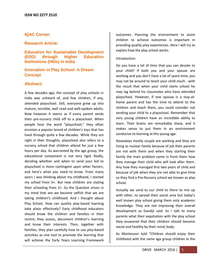#### **IQAC Corner:**

#### **Research Article:**

**Education for Sustainable Development (ESD) through Higher Education Institutions (HEIs) in India**

# **Innovation in Play School: A Dream Concept**

#### **Abstract:**

A few decades ago, the concept of play schools in India was unheard of, and few children, if any, attended playschool. Still, everyone grew up into mature, sensible, well read and well-spoken adults. Now however it seems as if every parent sends their pre-nursery child off to a playschool. When people hear the word "playschool," they often envision a popular brand of children's toys that has lived through quite a few decades. While they are right in their thoughts, playschool also refers to a nursery school that children attend for just a few hours per day. As warranted by the age group, the educational component is not very rigid. Really, deciding whether and when to send your kid to playschool is more contingent upon other factors, and here's what you need to know. From many years I was thinking about my childhood, I started my school from 5+. But now children are stating their schooling from 2+. So the Question arises in my mind that are we become selfish that we are taking children's childhood. And I thought about Play School. How can quality play-based learning take place effectively? Early childhood educators should know the children and families in their centre; they assess, document children's learning and know their interests. Then, together with families, they plan carefully how to use play-based activities as one tool to promote the learning that will achieve the Early Years Learning Framework outcomes. Planning the environment to assist children to achieve outcomes is important in providing quality play experiences. Here I will try to explain how the play school works.

#### Introduction:

Do you have a lot of time that you can devote to your child? If both you and your spouse are working and you don't have a lot of spare time, you may not be around to teach your child much - with the result that when your child starts school he may lag behind his classmates who have attended playschool. However, if one spouse is a stay-athome parent and has the time to attend to the children and teach them, you could consider not sending your child to a playschool. Remember that very young children have an incredible ability to learn. Their brains are remarkably sharp, and it makes sense to put them in an environment conducive to learning at this young age.

Nowadays mostly couple are working and they are living as nuclear family because of job their parents are not with them and when they starting their family the main problem come in front them how they manage their child who will look after them. Any how they managed first two years of child and because of job when they are not able to give time so they find a Pre-Nursery school we known as play school.

Actually we send to our child to there to mix up with other, to spread their social area but today's well known play school giving them only academic knowledge. They are not improving their overall development as Gandiji said. As I talk to many parents what their expatiation with the play school they answered that their children should become social and healthy by their mind, body.

As Montessori told "Children should enjoy their childhood with the same age group children in the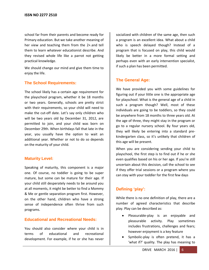school far from their parents and become ready for Primary education. But we take another meaning of her view and teaching them from the 2+.and tell them to learn whatever educationist describe. And they revised whole life like a parrot not getting practical knowledge.

We should change our mind and give them time to enjoy the life.

# **The School Requirements:**

The school likely has a certain age requirement for the playschool program, whether it be 18 months or two years. Generally, schools are pretty strict with their requirements, so your child will need to make the cut-off date. Let's say only children who will be two years old by December 31, 2012, are permitted to join, and your child was born on December 29th. When birthdays fall that late in the year, you usually have the option to wait an additional year. Whether or not to do so depends on the maturity of your child.

# **Maturity Level:**

Speaking of maturity, this component is a major one. Of course, no toddler is going to be super mature, but some can be mature for their age. If your child still desperately needs to be around you at all moments, it might be better to find a Mommy & Me or gentle separation program first. However, on the other hand, children who have a strong sense of independence often thrive from such programs.

# **Educational and Recreational Needs:**

You should also consider where your child is in terms of educational and recreational development. For example, if he or she has never socialized with children of the same age, then such a program is an excellent idea. What about a child who is speech delayed though? Instead of a program that is focused on play, this child would likely be better in a more formal setting and perhaps even with an early intervention specialist, if such a plan has been permitted.

# **The General Age:**

We have provided you with some guidelines for figuring out if your little one is the appropriate age for playschool. What is the general age of a child in such a program though? Well, most of these individuals are going to be toddlers, so they could be anywhere from 18 months to three years old. At the age of three, they might stay in the program or go to a regular nursery school. By four years old, they will likely be entering into a standard prekindergarten class, so it's unlikely that children of this age will be present.

When you are considering sending your child to playschool, the first step is to find out if he or she even qualifies based on his or her age. If you're still uncertain about this decision, call the school to see if they offer trial sessions or a program where you can stay with your toddler for the first few days

# **Defining 'play':**

While there is no one definition of play, there are a number of agreed characteristics that describe play. Play can be described as:

- Pleasurable-play is an enjoyable and pleasurable activity. Play sometimes includes frustrations, challenges and fears; however enjoyment is a key feature
- Symbolic-play is often pretend, it has a 'what if?' quality. The play has meaning to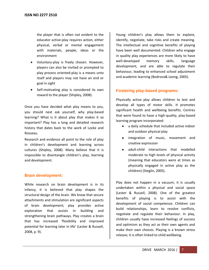the player that is often not evident to the educator active-play requires action, either physical, verbal or mental engagement with materials, people, ideas or the environment

- Voluntary-play is freely chosen. However, players can also be invited or prompted to play process oriented-play is a means unto itself and players may not have an end or goal in sight
- Self-motivating play is considered its own reward to the player (Shipley, 2008).

Once you have decided what play means to you, you should next ask yourself, why play-based learning? What is it about play that makes it so important? Play has a long and detailed research history that dates back to the work of Locke and Rosseau.

Research and evidence all point to the role of play in children's development and learning across cultures (Shipley, 2008). Many believe that it is impossible to disentangle children's play, learning and development.

# **Brain development:**

While research on brain development is in its infancy, it is believed that play shapes the structural design of the brain. We know that secure attachments and stimulation are significant aspects of brain development; play provides active exploration that assists in building and strengthening brain pathways. Play creates a brain that has increased 'flexibility and improved potential for learning later in life' (Lester & Russell, 2008, p. 9).

Young children's play allows them to explore, identify, negotiate, take risks and create meaning. The intellectual and cognitive benefits of playing have been well documented. Children who engage in quality play experiences are more likely to have well-developed memory skills, language development, and are able to regulate their behaviour, leading to enhanced school adjustment and academic learning (Bodrova& Leong, 2005).

# **Fostering play-based programs:**

Physically active play allows children to test and develop all types of motor skills. It promotes significant health and wellbeing benefits. Centres that were found to have a high-quality, play-based learning program incorporated:

- a daily schedule that included active indoor and outdoor physical play
- integration of music, movement and creative expression
- adult-child interactions that modelled moderate to high levels of physical activity (meaning that educators were at times as physically engaged in active play as the children) (Steglin, 2005).

Play does not happen in a vacuum; it is usually undertaken within a physical and social space (Lester & Russell, 2008). One of the greatest benefits of playing is to assist with the development of social competence. Children can build relationships, learn to resolve conflicts, negotiate and regulate their behaviour. In play, children usually have increased feelings of success and optimism as they act as their own agents and make their own choices. Playing is a known stress release; it is often linked to child wellbeing.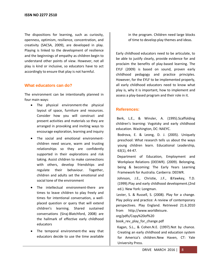The dispositions for learning, such as curiosity, openness, optimism, resilience, concentration, and creativity (SACSA, 2009), are developed in play. Playing is linked to the development of resilience and the beginnings of empathy as children begin to understand other points of view. However, not all play is kind or inclusive, so educators have to act accordingly to ensure that play is not harmful.

#### **What educators can do?**

The environment can be intentionally planned in four main ways:

- The physical environment-the physical layout of space, furniture and resources. Consider how you will construct and present activities and materials so they are arranged in provoking and inviting ways to encourage exploration, learning and inquiry
- The social and emotional environmentchildren need secure, warm and trusting relationships so they are confidently supported in their explorations and risk taking. Assist children to make connections with others, develop friendships and regulate their behaviour. Together, children and adults set the emotional and social tone of the environment
- The intellectual environment-there are times to leave children to play freely and times for intentional conversation, a wellplaced question or query that will extend children's learning. Shared sustained conversations (Siraj-Blatchford, 2008) are the hallmark of effective early childhood educators
- The temporal environment-the way that educators decide to use the time available

in the program. Children need large blocks of time to develop play themes and ideas.

Early childhood educators need to be articulate, to be able to justify clearly, provide evidence for and proclaim the benefits of play-based learning. The EYLF (2009) is based on sound, proven early childhood pedagogy and practice principles. However, for the EYLF to be implemented properly, all early childhood educators need to know what play is, why it is important, how to implement and assess a play-based program and their role in it.

#### **References:**

Berk, L.E., & Winsler, A. (1995).Scaffolding children's learning: Vvgotsky and early childhood education. Washington, DC: NAEYC.

Bodrova, E. & Leong, D. J. (2005). Uniquely preschool: What research tells us about the ways young children learn. Educational Leadership, 63(1), 44-47.

Department of Education, Employment and Workplace Relations (DEEWR). (2009). Belonging, being & becoming: The Early Years Learning Framework for Australia. Canberra: DEEWR.

Johnson, J.E., Christie, J.F., &Yawkey, T.D. (1999).Play and early childhood development.(2nd ed.). New York: Longman.

Lester, S. & Russell, S. (2008). Play for a change. Play policy and practice: A review of contemporary perspectives. Play England. Retrieved 21.6.2010 from http://www.worldleisure.

org/pdfs/Copy%20of%20

book\_rev\_play\_for\_change.pdf

Kagan, S.L., & Cohen.N.E. (1997).Not by chance. Creating an early childhood and education system for America's children.New Haven, CT: Yale University Press.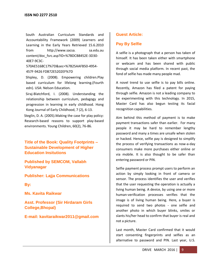South Australian Curriculum Standards and Accountability Framework (2009) Learners and Learning in the Early Years Retrieved 15.6.2010 from http://www.sacsa. sa.edu.au content/doc\_fsrc.asp?ID=%7BDCB8452E-3D30- 40E7-9C3C-

570AE5168C17%7D&sec=%7B25AAFB50-4954- 457F-9426 FDB72E5202EF%7D

Shipley, D. (2008). Empowering children.Play based curriculum for lifelong learning.(Fourth edn). USA: Nelson Education.

Siraj-Blatchford, I. (2008). Understanding the relationship between curriculum, pedagogy and progression in learning in early childhood. Hong Kong Journal of Early Childhood, 7 (2), 6-13.

Steglin, D. A. (2005).Making the case for play policy: Research-based reasons to support play-based environments. Young Children, 60(2), 76-86.

**Title of the Book: Quality Footprints – Sustainable Development of Higher Education Insitutions**

**Published by SEMCOM, Vallabh Vidyanagar**

**Publisher: Lajja Communications**

**By:** 

**Ms. Kavita Raikwar**

**Asst. Professor (Sir Hirdaram Girls College,Bhopal)**

**E-mail: kavitaraikwar2011@gmail.com**

#### **Guest Article:**

#### **Pay By Selfie**

A selfie is a photograph that a person has taken of himself. It has been taken either with smartphone or webcam and has been shared with public through social media platform. In recent past, the fond of selfie has made many people mad.

A novel trend to use selfie is to pay bills online. Recently, Amazon has filed a patent for paying through selfie. Amazon is not a leading company to be experimenting with this technology. In 2015, Master Card has also begun testing its facial recognition capabilities.

Aim behind this method of payment is to make payment transactions safer than earlier. For many people it may be hard to remember lengthy password and many a times are unsafe when stolen or hacked. Hence, selfie pay is designed to simplify the process of verifying transactions as now-a-day consumers make more purchases either online or via mobile. It is also thought to be safer than entering password or PIN.

Selfie payment process prompt users to perform an action by simply looking in front of camera or sensor. The process identifies the user and verifies that the user requesting the operation is actually a living human being. A device, by using one or more human-verification processes verifies that the image is of living human being. Here, a buyer is required to send two photos - one selfie and another photo in which buyer blinks, smiles or slants his/her head to confirm that buyer is real and not a picture.

Last month, Master Card confirmed that it would start consenting fingerprints and selfies as an alternative to password and PIN. Last year, U.S.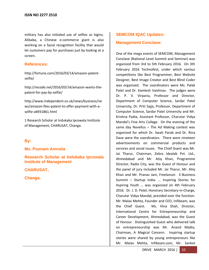military has also initiated use of selfies as logins. Alibaba, a Chinese e-commerce giant is also working on a facial recognition facility that would let customers pay for purchases just by looking at a screen.

#### **References:**

http://fortune.com/2016/03/14/amazon-patentselfie/

http://recode.net/2016/03/14/amazon-wants-thepatent-for-pay-by-selfie/

[http://www.independent.co.uk/news/business/ne](http://www.independent.co.uk/news/business/news/amazon-files-patent-to-offer-payment-with-a-selfie-a6931861.html) [ws/amazon-files-patent-to-offer-payment-with-a](http://www.independent.co.uk/news/business/news/amazon-files-patent-to-offer-payment-with-a-selfie-a6931861.html)[selfie-a6931861.html](http://www.independent.co.uk/news/business/news/amazon-files-patent-to-offer-payment-with-a-selfie-a6931861.html)

1 Research Scholar at Indukaka Ipcowala Institute of Management, CHARUSAT, Changa.

#### **By:**

**Ms. Poonam Amrutia**

**Research Scholar at Indukaka Ipcowala Institute of Management**

**CHARUSAT,**

**Changa.**

# **SEMCOM IQAC Updates: Management Conclave:**

One of the mega events of SEMCOM, Management Conclave (National Level Summit and Seminar) was organized from 3rd to 5th February 2016. On 3th February 2016 Technofest, under which various competitions like Best Programmer, Best Website Designer, Best Image Creator and Best Blind Coder was organized. The coordinators were Ms. Palak Patel and Dr. Kamlesh Vaishnav. The judges were Dr. P. V. Virparia, Professor and Director, Department of Computer Science, Sardar Patel University, Dr. Priti Sajja, Professor, Department of Computer Science, Sardar Patel University and Mr. Krishna Padia, Assistant Professor, Charutar Vidya Mandal's Fine Arts College. On the evening of the same day Novellus – The Ad Making contest was organized for which Dr. Swati Parab and Dr. Rina Dave were the coordinators. There were nineteen advertisements on commercial products and services and social issues. The Chief Guest was Mr. Jai Tharur, Chairman, Zebra Idealab Pvt. Ltd., Ahmedabad and Mr. Atiq Khan, Programme Director, Radio City, was the Guest of Honour and the panel of jury included Mr. Jai Tharur, Mr. Atiq Khan and Mr. Pranav Jani, Freelancer. E-Business Summit – Startup India: … Inspiring Stories for Aspiring Youth … was organized on 4th February 2016. Dr. J. D. Patel, Honorary Secretary-in-Charge, Charutar Vidya Mandal, presided over the function. Mr. Malav Mehta, Founder and CEO, Infibeam, was the Chief Guest. Ms. Hina Shah, Director, International Centre for Entrepreneurship and Career Development, Ahmedabad, was the Guest of Honour. Distinguished Guest who delivered talk on entrepreneurship was Mr. Anand Madia, Chairman, A Magical Concern. Inspiring startup stories were shared by young entrepreneurs like Mr. Malav Mehta, Infibeam.com, Mr. Sanket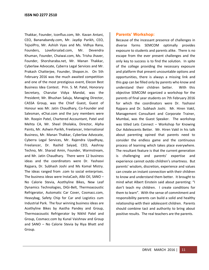Thakkar, Founder, Iconflux.com, Mr. Kavan Antani, CEO, Bananabandy.com, Mr. Jaydip Parikh, CEO, TejsolPro, Mr. Ashish Vyas and Ms. Vidhya Rana, Founders, Loveforsalad.com, Mr. Devendra Khuman, Founder, Chaiwai.com, Ms. Trisha Jhaver, Founder, Shorsharaba.net, Mr. Manan Thakkar, Cyberlaw Advocate, Cyberra Legal Services and Mr. Prakash Chatterjee, Founder, Shopon.in. On 5th February 2016 was the much awaited competition and one of the most prestigious event, Elecon Best Business Idea Contest. Prin. S. M. Patel, Honorary Secretary, Charutar Vidya Mandal, was the President; Mr. Bhushan Saluja, Managing Director, CASSA Group, was the Chief Guest, Guest of Honour was Mr. Jatin Chaudhary, Co-Founder and Salesman, eChai.com and the jury members were Mr. Roopin Patel, Chartered Accountant, Patel and Mehta CA, Mr. Sheel Dholakia, Director, Alpha Paints, Mr. Ashwin Parikh, Freelancer, International Business, Mr. Manan Thakkar, Cyberlaw Advocate, Cyberra Legal Services, Mr. Rajendra Upadhyay, Freelancer, Dr. Rashid Saiyad, CEO, Aashray Techno, Mr. Sharad Amin, Founder, Warmstream, and Mr. Jatin Chaudhary. There were 12 business ideas and the coordinators were Dr. Yashasvi Rajpara, Dr. Subhash Joshi and Ms Komal Mistry. The ideas ranged from .com to social enterprises. The business ideas were InstaCash, Albi Oil, SANO – No Calorie Stevia, Acethyline Bikes, New Leaf Dynamics Technologies, DiGi-Belt, Thermoacoustic Refrigerator, Automatic Car Cover, Cosmacc.com, Heavybag, Safety Chip for Car and Logistics cum Industrial Park. The four winning business ideas are Acethyline Bikes by Aastha Pandey and Group, Thermoacoustic Refrigerator by Nikhil Patel and Group, Cosmacc.com by Kunal Vaishnav and Group and SANO – No Calorie Stevia by Riya Bhatt and Group.

#### **Parents' Workshop:**

Because of the incessant presence of challenges in diverse forms SEMCOM optimally provides exposure to students and parents alike. There is no escape from the ever present challenges and the only key to success is to find the solution. In spite of the college providing the necessary exposure and platform that present uncountable options and opportunities, there is always a missing link and this gap can be filled only by parents who know and understand their children better. With this objective SEMCOM organized a workshop for the parents of final year students on 7th February 2016 for which the coordinators were Dr. Yashasvi Rajpara and Dr. Subhash Joshi. Mr. Hiren Vakil, Management Consultant and Corporate Trainer, Mumbai, was the Guest Speaker. The workshop was titled Lets Connect – Workshop for Knowing Our Adolescents Better. Mr. Hiren Vakil in his talk about parenting opined that parents need to consider the endless game and the continuous process of learning which takes place everywhere. The resultant feature is that the current generation is challenging and parents' expertise and experience cannot outdo children's smartness. But parents' wisdom, discretion, experience and values can create an instant connection with their children to know and understand them better. It brought to mind what Albert Einstein said about parenting: "I don't teach my children. I create conditions for them to learn". With the sense of commitment and responsibility parents can build a solid and healthy relationship with their adolescent children. Parents should combine tact and authority to bring about positive results. The real teachers are the parents.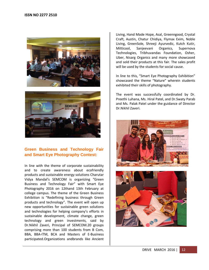



# **Green Business and Technology Fair and Smart Eye Photography Contest:**

In line with the theme of corporate sustainability and to create awareness about ecofriendly products and sustainable energy solutions Charutar Vidya Mandal's SEMCOM is organizing "Green Business and Technology Fair" with Smart Eye Photography 2016 on 12thand 13th February at college campus. The theme of the Green Business Exhibition is "Redefining business through Green products and technology". The event will open up new opportunities for sustainable green solutions and technologies for helping company's efforts in sustainable development, climate change, green technology and green investments, said by Dr.Nikhil Zaveri, Principal of SEMCOM.20 groups comprising more than 100 students from B Com, BBA, BBA-ITM, BCA and Masters of E-Business participated.Organizations andbrands like Ancient Living, Hand Made Hope, Asal, Greenngood, Crystal Craft, Austin, Chatur Chidiya, Flymax Exim, Noble Living, GreenSole, Shreeji Ayurvedic, Kutch Kutir, Mitticool, Sanjeevani Organics, Supernova Technologies, Tribhuvandas Foundation, Osher, Uber, Nisarg Organics and many more showcased and sold their products at this fair. The sales profit will be used by the students for social cause.

In line to this, "Smart Eye Photography Exhibition" showcased the theme "Nature" wherein students exhibited their skills of photography.

The event was successfully coordinated by Dr. Preethi Luhana, Ms. Hiral Patel, and Dr.Swaty Parab and Ms. Palak Patel under the guidance of Director Dr.Nikhil Zaveri.



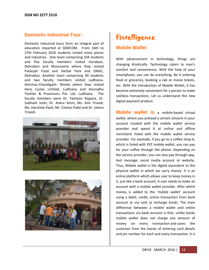# **Domestic Industrial Tour:**

Domestic industrial tours form an integral part of education imparted at SEMCOM. From 16th to 27th February 2016 students visited many places and industries. One team comprising 104 students and five faculty members visited Haridwar, Dehradun and Musssoorie where they visited Patanjali Food and Herbal Park and ONGC, Dehradun. Another team comprising 49 students and two faculty members visited Ludhiana-Amritsar-Chandigarh- Shimla where they visited Hero Cycles Limited, Ludhiana and Anuradha Textiles & Processors Pvt. Ltd. Ludhiana. The faculty members were Dr. Yashasvi Rajpara, Dr. Subhash Joshi, Dr. Ankur Amin, Ms. Ami Trivedi, Ms. Harshida Patel, Mr. Chetan Patel and Dr. Jaimin Trivedi.





# **Fintelligence**

# **Mobile Wallet**

With advancement in technology, things are changing drastically. Technology caters to man's comfort and convenience. With the help of your smartphone, you can do everything. Be it ordering food or groceries, booking a cab or movie tickets, etc. With the introduction of Mobile Wallet, it has become extremely convenient for a person to make cashless transactions. Let us understand this new digital payment product.

**Mobile wallet is** a mobile-based virtual wallet, where you preload a certain amount in your account created with the mobile wallet service provider and spend it at online and offline merchants listed with the mobile wallet service provider. For example, if you go to a coffee shop A, which is listed with XYZ mobile wallet, you can pay for your coffee through the phone. Depending on the service provider, you can also pay through app, text message, social media account or website. Thus, Mobile wallet is the digital equivalent to the physical wallet in which we carry money. It is an online platform which allows user to keep money in it, just like a bank account. A user needs to make an account with a mobile wallet provider. After which money is added to the 'mobile wallet' account using a debit, credit, online transaction from bank account or via cash (a recharge kiosk). The main difference between a mobile wallet and online transactions via bank account is that, unlike banks mobile wallet does not charge any amount of money on every transaction and saves the customer from the hassle of entering card details and pin number for each and every transaction. It is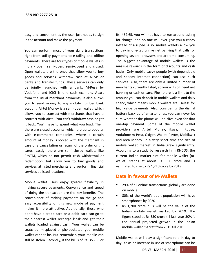easy and convenient as the user just needs to sign in the account and make the payment.

You can perform most of your daily transactions right from utility payments to e-tailing and offline payments. There are four types of mobile wallets in India - open, semi-open, semi-closed and closed. Open wallets are the ones that allow you to buy goods and services, withdraw cash at ATMs or banks and transfer funds. These services can only be jointly launched with a bank. M-Pesa by Vodafone and ICICI is one such example. Apart from the usual merchant payments, it also allows you to send money to any mobile number bank account. Airtel Money is a semi-open wallet, which allows you to transact with merchants that have a contract with Airtel. You can't withdraw cash or get it back. You'll have to spend what you load. Then, there are closed accounts, which are quite popular with e-commerce companies, where a certain amount of money is locked with the merchant in case of a cancellation or return of the order or gift cards. Lastly, there are semi-closed wallets like PayTM, which do not permit cash withdrawal or redemption, but allow you to buy goods and services at listed merchants and perform financial services at listed locations.

Mobile wallet users enjoy greater flexibility in making secure payments. Convenience and speed of doing the transaction are the key benefits. The convenience of making payments on the go and easy accessibility of this new mode of payment makes it more attractive. Additionally, those who don't have a credit card or a debit card can go to their nearest wallet recharge kiosk and get their wallets loaded against cash. Your wallet can be snatched, misplaced or pickpocketed, your mobile wallet cannot be. But remember, your mobile can still be stolen. Secondly, if the bill is of Rs. 353.53 or

Rs. 462.65, you will not have to run around asking for change, and no one will ever give you a candy instead of a rupee. Also, mobile wallets allow you to pay in one-tap unlike net banking that calls for opening several browsers and are time consuming. The biggest advantage of mobile wallets is the massive rewards in the form of discounts and cash backs. Only mobile-savvy people (with dependable and speedy internet connection) can use such services. Also, there are only a limited number of merchants currently listed, so you will still need net banking or cash or card. Plus, there is a limit to the amount you can deposit in mobile wallets and daily spend, which means mobile wallets are useless for high value payments. Also, considering the dismal battery back-up of smartphones, you can never be sure whether the phone will be alive even for that one-tap payment. Some of the mobile wallet providers are Airtel Money, ikaaz, mRupee, Vodafone m-Pesa, Oxigen Wallet, Paytm, Mobikwik and Idea Money. In a very short time the size of mobile wallet market in India grew significantly. According to a study by research firm RNCOS, the current Indian market size for mobile wallet (mwallet) stands at about Rs. 350 crore and is estimated to rise to Rs 1,210 crore by 2019.

# **Data in favour of M-Wallets**

- 29% of all online transactions globally are done on mobile
- 80% of the world's adult population will have smartphones by 2020
- Rs 1,200 crore plus will be the value of the Indian mobile wallet market by 2019. The figure stood at Rs 350 crore till last year 30% is the annual projected growth in the Indian mobile wallet market from 2015 till 2019.

Mobile wallet will play a significant role in day to day life as an increase in use of smartphone can be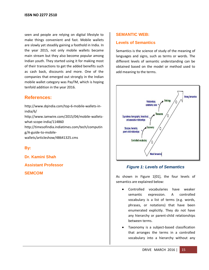seen and people are relying on digital lifestyle to make things convenient and fast. Mobile wallets are slowly yet steadily gaining a foothold in India. In the year 2015, not only mobile wallets became main stream but they also become popular among Indian youth. They started using it for making most of their transactions to get the added benefits such as cash back, discounts and more. One of the companies that emerged out strongly in the Indian mobile wallet category was PayTM, which is hoping tenfold addition in the year 2016.

# **References:**

[http://www.dqindia.com/top-6-mobile-wallets-in](http://www.dqindia.com/top-6-mobile-wallets-in-india/6/)[india/6/](http://www.dqindia.com/top-6-mobile-wallets-in-india/6/) [http://www.iamwire.com/2015/04/mobile-wallets](http://www.iamwire.com/2015/04/mobile-wallets-what-scope-india/114860)[what-scope-india/114860](http://www.iamwire.com/2015/04/mobile-wallets-what-scope-india/114860) [http://timesofindia.indiatimes.com/tech/computin](http://timesofindia.indiatimes.com/tech/computing/A-guide-to-mobile-wallets/articleshow/48641325.cms) [g/A-guide-to-mobile](http://timesofindia.indiatimes.com/tech/computing/A-guide-to-mobile-wallets/articleshow/48641325.cms)[wallets/articleshow/48641325.cms](http://timesofindia.indiatimes.com/tech/computing/A-guide-to-mobile-wallets/articleshow/48641325.cms)

# **By:**

**Dr. Kamini Shah**

**Assistant Professor**

**SEMCOM**

#### **SEMANTIC WEB:**

#### **Levels of Semantics**

Semantics is the science of study of the meaning of languages and signs, such as terms or words. The different levels of semantic understanding can be obtained based on the model or method used to add meaning to the terms.



#### *Figure 1: Levels of Semantics*

As shown in Figure 1[01], the four levels of semantics are explained below:

- Controlled vocabularies have weaker semantic expression. A controlled vocabulary is a list of terms (e.g. words, phrases, or notations) that have been enumerated explicitly. They do not have any hierarchy or parent-child relationships between terms.
- Taxonomy is a subject-based classification that arranges the terms in a controlled vocabulary into a hierarchy without any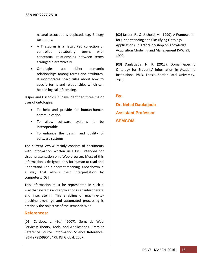natural associations depicted. e.g. Biology taxonomy.

- A Thesaurus is a networked collection of controlled vocabulary terms with conceptual relationships between terms arranged hierarchically.
- Ontologies use richer semantic relationships among terms and attributes. It incorporates strict rules about how to specify terms and relationships which can help in logical inferencing.

Jasper and Uschold[02] have identified three major uses of ontologies:

- To help and provide for human-human communication
- To allow software systems to be interoperable
- To enhance the design and quality of software systems

The current WWW mainly consists of documents with information written in HTML intended for visual presentation on a Web browser. Most of this information is designed only for human to read and understand. Their inherent meaning is not shown in a way that allows their interpretation by computers. [03]

This information must be represented in such a way that systems and applications can interoperate and integrate it. This enabling of machine-tomachine exchange and automated processing is precisely the objective of the semantic Web.

# **References:**

[01] Cardoso, J. (Ed.) (2007). Semantic Web Services: Theory, Tools, and Applications. Premier Reference Source. Information Science Reference. ISBN 9781599040479. IGI Global. 2007.

[02] Jasper, R., & Uschold, M. (1999). A Framework for Understanding and Classifying Ontology Applications. In 12th Workshop on Knowledge Acquisition Modeling and Management KAW'99, 1999.

[03] Daulatjada, N. P. (2013). Domain-specific Ontology for Students' Information in Academic Institutions. Ph.D. Thesis. Sardar Patel University. 2013.

# **By:**

**Dr. Nehal Daulatjada Assistant Professor SEMCOM**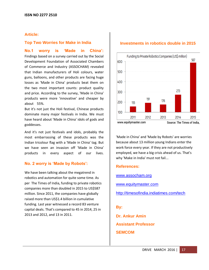#### **Article:**

#### **Top Two Worries for Make in India**

**No.1 worry is 'Made in China':** Findings based on a survey carried out by the Social Development Foundation of Associated Chambers of Commerce and Industry (ASSOCHAM) revealed that Indian manufacturers of Holi colours, water guns, balloons, and other products are facing huge losses as 'Made in China' products beat them on the two most important counts: product quality and price. According to the survey, 'Made in China' products were more 'innovative' and cheaper by about 55%.

But it's not just the Holi festival, Chinese products dominate many major festivals in India. We must have heard about 'Made in China' idols of gods and goddesses.

And it's not just festivals and idols, probably the most embarrassing of these products was the Indian tricolour flag with a 'Made in China' tag. But we have seen an invasion off 'Made in China' products in every aspect of our lives.

#### **No. 2 worry is 'Made by Robots':**

We have been talking about the megatrend in robotics and automation for quite some time. As per The Times of India, funding to private robotics companies more than doubled in 2015 to US\$587 million. Since 2011, the companies have globally raised more than US\$1.4 billion in cumulative funding. Last year witnessed a record 83 venture capital deals. That's compared to 45 in 2014, 25 in 2013 and 2012, and 13 in 2011.

#### **Investments in robotics double in 2015**



'Made in China' and 'Made by Robots' are worries because about 13 million young Indians enter the work force every year. If they are not productively employed, we have a big crisis ahead of us. That's why 'Make in India' must not fail...

#### **References:**

[www.assocham.org](http://www.assocham.org/)

[www.equitymaster.com](http://www.equitymaster.com/)

<http://timesofindia.indiatimes.com/tech>

#### **By:**

**Dr. Ankur Amin Assistant Professor SEMCOM**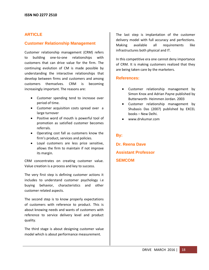### **ARTICLE**

#### **Customer Relationship Management**

Customer relationship management (CRM) refers to building one-to-one relationships with customers that can drive value for the firm. The continuing evolution of CM is made possible by understanding the interactive relationships that develop between firms and customers and among customers themselves. CRM is becoming increasingly important. The reasons are:

- Customer spending tend to increase over period of time.
- Customer acquisition costs spread over a large turnover
- Positive word of mouth is powerful tool of promotion as satisfied customer becomes referrals.
- Operating cost fall as customers know the firm's product, services and policies.
- Loyal customers are less price sensitive, allows the firm to maintain if not improve its margin.

CRM concentrates on creating customer value. Value creation is a process and key to success.

The very first step is defining customer actions it includes to understand customer psychology i.e buying behavior, characteristics and other customer related aspects.

The second step is to know properly expectations of customers with reference to product. This is about knowing needs and wants of customers with reference to service delivery level and product quality.

The third stage is about designing customer value model which is about performance measurement.

The last step is implantation of the customer delivery model with full accuracy and perfections. Making available all requirements like infrastructures both physical and IT.

In this competitive era one cannot deny importance of CRM. It is making customers realized that they are being taken care by the marketers.

#### **References:**

- Customer relationship management by Simon Knox and Adrian Payne published by Butterworth- Heimmen Jordan. 2003
- Customer relationship management by Shubasis Das (2007) published by EXCEL books – New Delhi.
- www.drvkumar.com

#### **By:**

**Dr. Reena Dave Assistant Professor SEMCOM**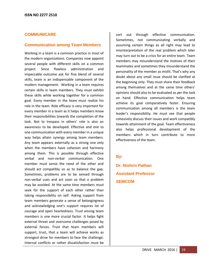#### **COMMUNICARE**

#### **Communication among Team Members**

Working in a team is a common practice in most of the modern organizations. Companies now appoint several people with different skills on a common project. Since flawless administration and impeccable outcome ask for fine blend of several skills, team is an indispensable component of the modern management. Working in a team requires certain skills in team members. They must exhibit these skills while working together for a common goal. Every member in the team must realize his role in the team. Role efficacy is very important for every member in a team as it helps members know their responsibilities towards the completion of the task. Not to trespass in others' role is also an awareness to be developed. Effective and one to one communication with every member in a unique way helps attain synergy among team members. Any team appears externally as a strong one only when the members have cohesion and harmony among them. This is possible through effective verbal and non-verbal communication. One member must sense the need of the other and should act compatibly so as to balance the gap. Sometimes, problems are to be sensed through non-verbal cues and act soon so that a problem may be avoided. At the same time members must seek for the support of each other rather than taking responsibility on self. Asking support from team members generate a sense of belongingness and acknowledging one's support requires lot of courage and open heartedness. Trust among team members is one more crucial factor. It helps fight external threat and overcome challenges posed by external forces. Trust that team members will support, trust, that a team will achieve works as strongest drive for members to face the challenge. Internal conflicts or rather dissatisfaction must be

sort out through effective communication. Sometimes, not communicating verbally and assuming certain things as all right may lead to misinterpretation of the real problem which later may turn out to be a crisis for an entire team. Team members may misunderstand the motives of their teammates and sometimes they misunderstand the personality of the member as misfit. That's why any doubt about any small issue should be clarified at the beginning only. They must share their feedback among themselves and at the same time others' opinions should also to be evaluated as per the task on hand. Effective communication helps team achieve its goal comparatively faster. Ensuring communication among all members is the team leader's responsibility. He must see that people cohesively discuss their issues and work compatibly towards attainment of the goal. Team effectiveness also helps professional development of the members which in turn contribute to more effectiveness of the team.

#### **By:**

**Dr. Nishrin Pathan Assistant Professor SEMCOM**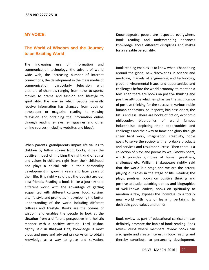#### **MY VOICE:**

# **The World of Wisdom and the Journey to an Exciting World**

The increasing use of information and communication technology, the advent of world wide web, the increasing number of internet connections, the development in the mass media of communication, particularly television with plethora of channels ranging from news to sports, movies to drama and fashion and lifestyle to spirituality, the way in which people generally receive information has changed from book or newspaper or magazine reading to viewing television and obtaining the information online through reading e-news, e-magazines and other online sources (including websites and blogs).

When parents, grandparents impart life values to children by telling stories from books, it has the positive impact of imbibing the right kind of ethics and values in children, right from their childhood and plays a crucial role in their personality development in growing years and later years of their life. It is rightly said that the book(s) are our best friends. Reading a book is like a journey to a different world with the advantage of getting acquainted with different cultures, food, cuisine, art, life style and promotes in developing the better understanding of the world including different cultures and lifestyle. Books are the oceans of wisdom and enables the people to look at the situation from a different perspective in a holistic manner with a positive attitude. Lord Krishna rightly said in Bhagwat Gita, knowledge is most pious and pure and advised prince Arjun to obtain knowledge as a way to grace and salvation.

Knowledgeable people are respected everywhere. Book reading and understanding enhances knowledge about different disciplines and makes for a versatile personality.

Book reading enables us to know what is happening around the globe, new discoveries in science and medicine, marvels of engineering and technology, global environmental issues and opportunities and challenges before the world economy, to mention a few. Then there are books on positive thinking and positive attitude which emphasizes the significance of positive thinking for the success in various noble human endeavors, be it sports, business or art, the list is endless. There are books of fiction, economic philosophy, biographies of world famous industrialists depicting their opportunities and challenges and their way to fame and glory through sheer hard work, imagination, creativity, noble goals to serve the society with affordable products and services and resultant success. Then there is a collection of plays and poems by well-known poets, which provides glimpses of human greatness, challenges etc. William Shakespeare rightly said that the world is a stage and we are the actors, playing our roles in the stage of life. Reading the plays, poetries, books on positive thinking and positive attitude, autobiographies and biographies of well-known leaders, books on spirituality to mention a few, exposes the individual to a totally new world with lots of learning pertaining to desirable good values and ethics.

Book review as part of educational curriculum can definitely promote the habit of book reading. Book review clubs where members review books can also ignite and create interest in book reading and thereby contribute to personality development,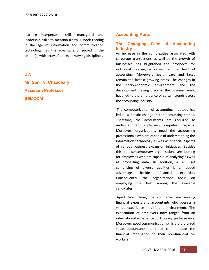learning interpersonal skills, managerial and leadership skills to mention a few. E-book reading in the age of information and communication technology has the advantage of providing the reader(s) with array of books on varying disciplines.

#### **By:**

**Mr. Sunil V. Chaudhary Assistant Professor SEMCOM**

#### **Accounting Aura:**

#### **The Changing Face of Accounting Industry**

An increase in the complexities associated with corporate transactions as well as the growth of businesses has brightened the prospects for individual seeking a career in the field of accounting. Moreover, health care and taxes remain the fastest growing areas. The changes in the socio-economic environment and the developments taking place in the business world have led to the emergence of certain trends across the accounting industry.

The computerization of accounting methods has led to a drastic change in the accounting trends. Therefore, the accountants are required to understand and apply new computer programs. Moreover, organizations need the accounting professionals who are capable of understanding the information technology as well as financial aspects of various business expansion initiatives. Besides this, the contemporary organizations are looking for employees who are capable of analyzing as well as processing data. In addition, a skill set comprising of diverse qualities is an added advantage besides financial expertise. Consequently, the organizations focus on employing the best among the available candidates.

Apart from these, the companies are seeking financial experts and accountants who possess a varied experience in different environments. The expectation of employers now ranges from an international experience to IT savvy professionals. Moreover, good communication skills are preferred since accountants need to communicate the financial information to their non-financial coworkers.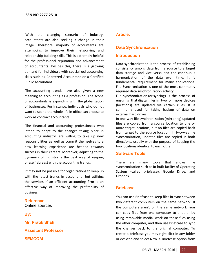With the changing scenario of industry, accountants are also seeking a change in their image. Therefore, majority of accountants are attempting to improve their networking and relationship building skills. This is extremely helpful for the professional reputation and advancement of accountants. Besides this, there is a growing demand for individuals with specialized accounting skills such as Chartered Accountant or a Certified Public Accountant.

The accounting trends have also given a new meaning to accounting as a profession. The scope of accountants is expanding with the globalization of businesses. For instance, individuals who do not want to spend the whole life in office can choose to work as contract accountants.

The financial and accounting professionals who intend to adapt to the changes taking place in accounting industry, are willing to take up new responsibilities as well as commit themselves to a new learning experience are headed towards success in their careers. Moreover, adjusting to the dynamics of industry is the best way of keeping oneself abreast with the accounting trends.

It may not be possible for organizations to keep up with the latest trends in accounting, but utilizing the services if an efficient accounting firm is an effective way of improving the profitability of business.

#### **Reference:** Online sources

**By:**

**Mr. Pratik Shah**

**Assistant Professor**

**SEMCOM**

# **Article:**

# **Data Synchronization**

# **Introduction**

Data synchronization is the process of establishing consistency among data from a source to a target data storage and vice versa and the continuous harmonization of the data over time. It is fundamental requirement for many applications. File Synchronization is one of the most commonly required data synchronization activity.

File synchronization (or syncing) is the process of ensuring that digital [files](https://en.wikipedia.org/wiki/Computer_file) in two or more devices (locations) are updated via certain rules. It is commonly used for taking backup of data on external hard drives.

In one-way file synchronization (mirroring) updated files are copied from a source location to one or more target locations, but no files are copied back from target to the source location. In two-way file synchronization, updated files are copied in both directions, usually with the purpose of keeping the two locations identical to each other.

#### **Software Tools**

There are many tools that allows file synchronization such as in-built facility of Operating System (called briefcase), Google Drive, and Dropbox.

#### **Briefcase**

You can use Briefcase to keep files in sync between two different computers on the same network. If the computers aren't on the same network, you can copy files from one computer to another by using removable media, work on those files using the other computer, and then use Briefcase to sync the changes back to the original computer. To create a briefcase you may right click in any folder or desktop and select New -> Briefcase option from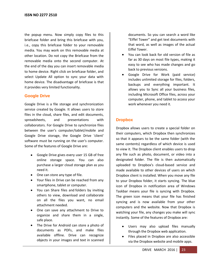the popup menu. Now simply copy files to this briefcase folder and bring this briefcase with you, i.e., copy this briefcase folder to your removable media. You may work on this removable media at other location. Do not copy the Briefcase from the removable media onto the second computer. At the end of the day you can insert removable media to home device. Right click on briefcase folder, and select Update All option to sync your data with home device. The disadvantage of briefcase is that it provides very limited functionality.

#### **Google Drive**

Google Drive is a file storage and synchronization service created by Google. It allows users to store files in the cloud, share files, and edit documents, spreadsheets, and presentations with collaborators. For Google Drive to synchronize files between the user's computer/tablet/mobile and Google Drive storage, the Google Drive 'client' software must be running on the user's computer. Some of the features of Google Drive are:

- Google Drive gives every user 15 GB of free online storage space. You can also purchase a larger cloud storage plan as you need it.
- One can store any type of file.
- Your files in Drive can be reached from any smartphone, tablet or computer.
- You can Share files and folders by inviting others to view, download and collaborate on all the files you want, no email attachment needed.
- One can save any attachment to Drive to organize and share them in a single, safe place.
- The Drive for Android can store a photo of documents as PDFs, and make files available offline. Drive can recognize objects in your images and text in scanned

documents. So you can search a word like "Eiffel Tower" and get text documents with that word, as well as images of the actual Eiffel Tower.

- You can look back for old version of file as far as 30 days on most file types, making it easy to see who has made changes and go back to previous versions.
- Google Drive for Work (paid service) includes unlimited storage for files, folders, backups and everything important. It allows you to Sync all your business files, including Microsoft Office files, across your computer, phone, and tablet to access your work whenever you need it.

# **Dropbox**

Dropbox allows users to create a special folder on their computers, which Dropbox then synchronizes so that it appears to be the same folder (with the same contents) regardless of which device is used to view it. The Dropbox client enables users to drop any file such as photo, document, or video into a designated folder. The file is then automatically uploaded to Dropbox's cloud-based service and made available to other devices of users on which Dropbox client is installed. When you move any file to your Dropbox folder, it starts syncing. The blue icon of Dropbox in notification area of Windows Taskbar means your file is syncing with Dropbox. The green icon means that your file has finished syncing and is now available from your other computers and the website. Now that Dropbox is watching your file, any changes you make will sync instantly. Some of the features of Dropbox are:

- Users may also upload files manually through the Dropbox web application.
- Files placed in Dropbox are also accessible via the Dropbox website and mobile apps.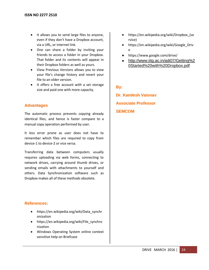- It allows you to send large files to anyone, even if they don't have a Dropbox account, via a URL, or internet link.
- One can share a folder by inviting your friends to access a folder in your Dropbox. That folder and its contents will appear in their Dropbox folders as well as yours.
- View Previous Versions allows you to view your file's change history and revert your file to an older version.
- It offers a free account with a set storage size and paid one with more capacity.

# **Advantages**

The automatic process prevents copying already identical files, and hence is faster compare to a manual copy operation performed by user.

It less error prone as user does not have to remember which files are required to copy from device-1 to device-2 or vice versa.

Transferring data between computers usually requires uploading via web forms, connecting to network drives, carrying around thumb drives, or sending emails with attachments to yourself and others. Data Synchronization software such as Dropbox makes all of these methods obsolete.

# **References:**

- [https://en.wikipedia.org/wiki/Data\\_synchr](https://en.wikipedia.org/wiki/Data_synchronization) [onization](https://en.wikipedia.org/wiki/Data_synchronization)
- [https://en.wikipedia.org/wiki/File\\_synchro](https://en.wikipedia.org/wiki/File_synchronization) [nization](https://en.wikipedia.org/wiki/File_synchronization)
- Windows Operating System online context sensitive help on Briefcase
- [https://en.wikipedia.org/wiki/Dropbox\\_\(se](https://en.wikipedia.org/wiki/Dropbox_(service)) [rvice\)](https://en.wikipedia.org/wiki/Dropbox_(service))
- [https://en.wikipedia.org/wiki/Google\\_Driv](https://en.wikipedia.org/wiki/Google_Drive) [e](https://en.wikipedia.org/wiki/Google_Drive)
- <https://www.google.com/drive/>
- [http://www.iitg.ac.in/adi07/Getting%2](http://www.iitg.ac.in/adi07/Getting%20Started%20with%20Dropbox.pdf) [0Started%20with%20Dropbox.pdf](http://www.iitg.ac.in/adi07/Getting%20Started%20with%20Dropbox.pdf)

# **By:**

**Dr. Kamlesh Vaisnav Associate Professor SEMCOM**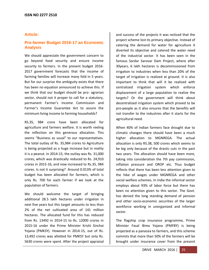#### **Article:**

# **Pro-farmer Budget 2016-17 an Economic Analysis**

We should appreciate the government concern to go beyond food security and ensure income security to farmers. In the present budget 2016- 2017 government forecasts that the income of farming families will increase many fold in 5 years. But for our surprise the ambiguity exists that there has been no equation announced to achieve this. If we think that our budget should be pro- agrarian sector, should not it proper to call for a statutory, permanent Farmer's Income Commission and Farmer's Income Guarantee Act to assure the minimum living income to farming households?

RS.35, 984 crore have been allocated for agriculture and farmers welfare. It is worth reeling the reflection on this generous allocation. This seems "Business as usual" to our representatives. The total outlay of Rs. 35,984 crores to Agriculture is being projected as a huge increase but in reality it is a peanut. In 2014-15, the outlay was Rs. 31,000 crores, which was drastically reduced to Rs. 24,910 crores in 2015-16, and now increased to Rs.35, 984 crores. Is not it surprising? Around 0.013% of total budget has been allocated for farmers, which is only Rs. 700 for each farmer if we look at the population of farmers.

We should welcome the target of bringing additional 28.5 lakh hectares under irrigation in next five years but this target amounts to less than 2% of the net cultivated area of 141 million hectares. The allocated fund for this has reduced from Rs. 13492 in 2014-15 to Rs. 12000 crores in 2015-16 under the Prime Minister Krishi Sinchai Yojana (PMKSY). However in 2014-15, out of Rs. 13,492 crores was allotted for PMKSY but only Rs. 5630 crores were spent. After the project appraisal

and success of the projects it was noticed that the project scheme lost its primary objective. Instead of catering the demand for water for agriculture it diverted its objective and catered the water need of the industrial sector. It has been seen in the famous Sardar Sarovar Dam Project, where after 30years, 6 lakh hectares is decommissioned from irrigation to industries when less than 20% of the target of irrigation is realized at ground. It is also important to think that will it be realized with centralized irrigation system which enforce displacement of a large population to realize the targets? Or the government will think about decentralized irrigation system which proved to be pro-people as it also ensures that the benefits will not transfer to the industries after it starts for the agricultural need.

When 40% of Indian farmers face drought due to climatic changes there should have been a much higher allocation to MGNREGA. The actual allocation is only RS.38, 500 crores which seems to be big only because of the drastic cuts in the past two years. The allocation should have been more, taking into consideration the 7th pay commission, inflation pressure and OROP etc. Thus budget reflects that there has been less attention given to the hike of wages under MGNREGA and other social welfare schemes. In India the informal sector employs about 93% of labor force but there has been no attention given to this sector. The Govt. has denied the long standing demand of pension and other socio-economic securities of the larger workforce working in unorganized and informal sector.

The flagship crop insurance programme, Prime Minister Fasal Bima Yojana (PMFBY) is being projected as a panacea to farmers, and this scheme commits that more than 50% of the farmers will be brought under insurance cover from the present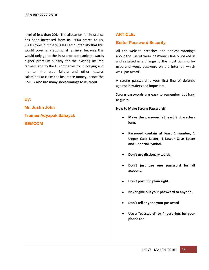level of less than 20%. The allocation for insurance has been increased from Rs. 2600 crores to Rs. 5500 crores but there is less accountability that this would cover any additional farmers, because this would only go to the insurance companies towards higher premium subsidy for the existing insured farmers and to the IT companies for surveying and monitor the crop failure and other natural calamities to claim the insurance money, hence the PMFBY also has many shortcomings to its credit.

# **By:**

**Mr. Justin John Trainee Adyapak Sahayak SEMCOM**

# **ARTICLE:**

# **Better Password Security**

All the website breaches and endless warnings about the use of weak passwords finally soaked in and resulted in a change to the most commonlyused and worst password on the Internet, which was "password".

A strong password is your first line of defense against intruders and imposters.

Strong passwords are easy to remember but hard to guess.

**How to Make Strong Password?**

- $\bullet$ **Make the password at least 8 characters long**.
- **Password contain at least 1 number, 1 Upper Case Latter, 1 Lower Case Latter and 1 Special Symbol.**
- **Don't use dictionary words**.
- **Don't just use one password for all account.**
- **Don't post it in plain sight.**
- **Never give out your password to anyone.**
- **Don't tell anyone your password**
- **Use a "password" or fingerprints for your phone too.**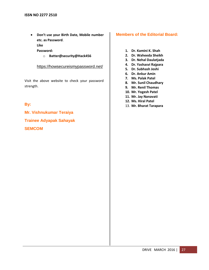**Don't use your Birth Date, Mobile number etc. as Password**.

**Like** 

**Password:**

o **Batter@security@Hack456**

<https://howsecureismypassword.net/>

Visit the above website to check your password strength.

# **By:**

**Mr. Vishnukumar Teraiya Trainee Adyapak Sahayak SEMCOM**

#### **Members of the Editorial Board:**

- **1. Dr. Kamini K. Shah**
- **2. Dr. Waheeda Sheikh**
- **3. Dr. Nehal Daulatjada**
- **4. Dr. Yashasvi Rajpara**
- **5. Dr. Subhash Joshi**
- **6. Dr. Ankur Amin**
- **7. Ms. Palak Patel**
- **8. Mr. Sunil Chaudhary**
- **9. Mr. Renil Thomas**
- **10. Mr. Yogesh Patel**
- **11. Mr. Jay Nanavati**
- **12. Ms. Hiral Patel**
- 13. **Mr. Bharat Tarapara**